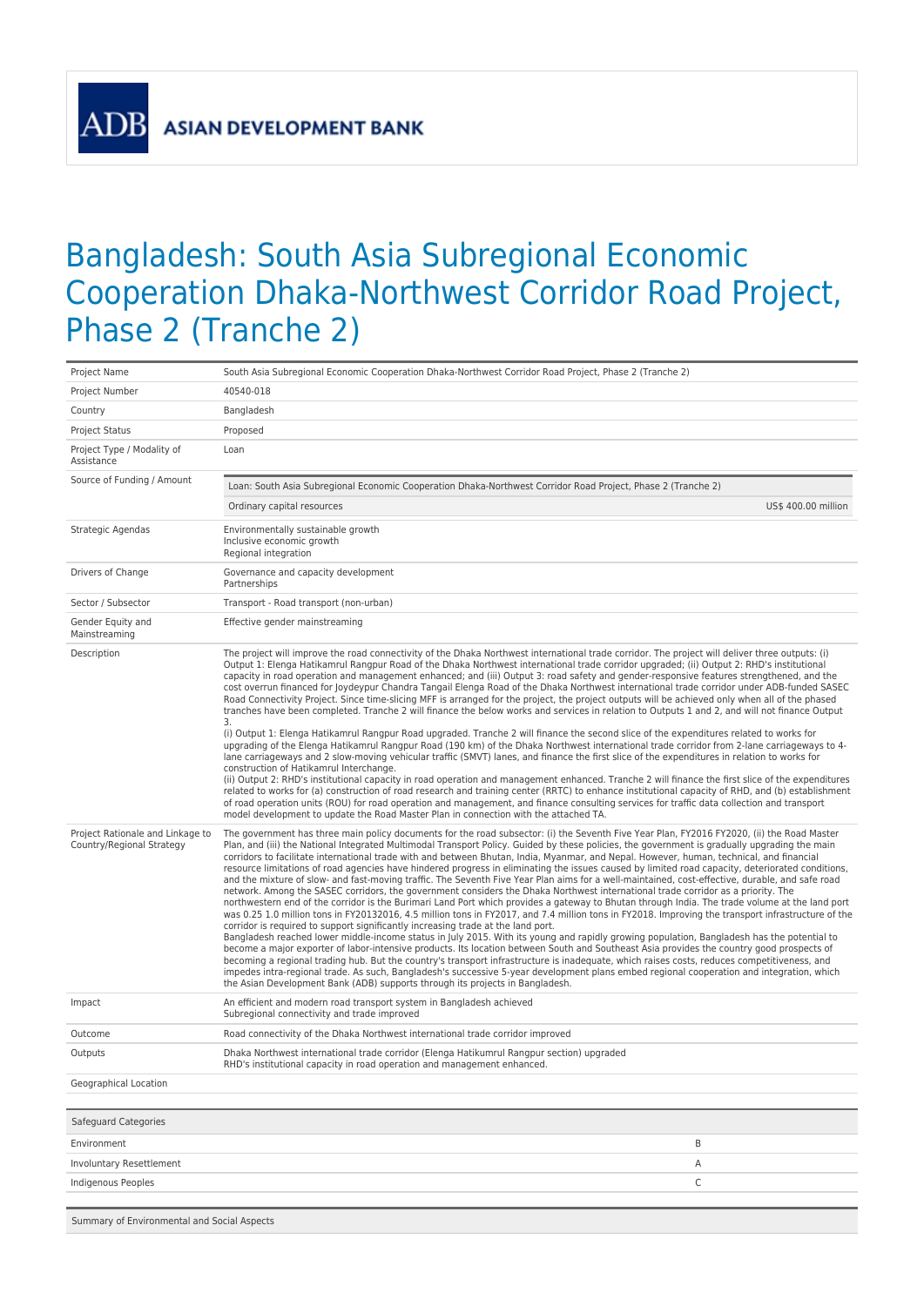Summary of Environmental and Social Aspects

## Bangladesh: South Asia Subregional Economic Cooperation Dhaka-Northwest Corridor Road Project, Phase 2 (Tranche 2)

| Project Name                                                  | South Asia Subregional Economic Cooperation Dhaka-Northwest Corridor Road Project, Phase 2 (Tranche 2)                                                                                                                                                                                                                                                                                                                                                                                                                                                                                                                                                                                                                                                                                                                                                                                                                                                                                                                                                                                                                                                                                                                                                                                                                                                                                                                                                                                                                                                                                                                                                                                                                                                                                                                                                                                                                                                 |  |
|---------------------------------------------------------------|--------------------------------------------------------------------------------------------------------------------------------------------------------------------------------------------------------------------------------------------------------------------------------------------------------------------------------------------------------------------------------------------------------------------------------------------------------------------------------------------------------------------------------------------------------------------------------------------------------------------------------------------------------------------------------------------------------------------------------------------------------------------------------------------------------------------------------------------------------------------------------------------------------------------------------------------------------------------------------------------------------------------------------------------------------------------------------------------------------------------------------------------------------------------------------------------------------------------------------------------------------------------------------------------------------------------------------------------------------------------------------------------------------------------------------------------------------------------------------------------------------------------------------------------------------------------------------------------------------------------------------------------------------------------------------------------------------------------------------------------------------------------------------------------------------------------------------------------------------------------------------------------------------------------------------------------------------|--|
| Project Number                                                | 40540-018                                                                                                                                                                                                                                                                                                                                                                                                                                                                                                                                                                                                                                                                                                                                                                                                                                                                                                                                                                                                                                                                                                                                                                                                                                                                                                                                                                                                                                                                                                                                                                                                                                                                                                                                                                                                                                                                                                                                              |  |
| Country                                                       | Bangladesh                                                                                                                                                                                                                                                                                                                                                                                                                                                                                                                                                                                                                                                                                                                                                                                                                                                                                                                                                                                                                                                                                                                                                                                                                                                                                                                                                                                                                                                                                                                                                                                                                                                                                                                                                                                                                                                                                                                                             |  |
| Project Status                                                | Proposed                                                                                                                                                                                                                                                                                                                                                                                                                                                                                                                                                                                                                                                                                                                                                                                                                                                                                                                                                                                                                                                                                                                                                                                                                                                                                                                                                                                                                                                                                                                                                                                                                                                                                                                                                                                                                                                                                                                                               |  |
| Project Type / Modality of<br>Assistance                      | Loan                                                                                                                                                                                                                                                                                                                                                                                                                                                                                                                                                                                                                                                                                                                                                                                                                                                                                                                                                                                                                                                                                                                                                                                                                                                                                                                                                                                                                                                                                                                                                                                                                                                                                                                                                                                                                                                                                                                                                   |  |
| Source of Funding / Amount                                    | Loan: South Asia Subregional Economic Cooperation Dhaka-Northwest Corridor Road Project, Phase 2 (Tranche 2)                                                                                                                                                                                                                                                                                                                                                                                                                                                                                                                                                                                                                                                                                                                                                                                                                                                                                                                                                                                                                                                                                                                                                                                                                                                                                                                                                                                                                                                                                                                                                                                                                                                                                                                                                                                                                                           |  |
|                                                               | Ordinary capital resources<br>US\$ 400.00 million                                                                                                                                                                                                                                                                                                                                                                                                                                                                                                                                                                                                                                                                                                                                                                                                                                                                                                                                                                                                                                                                                                                                                                                                                                                                                                                                                                                                                                                                                                                                                                                                                                                                                                                                                                                                                                                                                                      |  |
| Strategic Agendas                                             | Environmentally sustainable growth<br>Inclusive economic growth<br>Regional integration                                                                                                                                                                                                                                                                                                                                                                                                                                                                                                                                                                                                                                                                                                                                                                                                                                                                                                                                                                                                                                                                                                                                                                                                                                                                                                                                                                                                                                                                                                                                                                                                                                                                                                                                                                                                                                                                |  |
| Drivers of Change                                             | Governance and capacity development<br>Partnerships                                                                                                                                                                                                                                                                                                                                                                                                                                                                                                                                                                                                                                                                                                                                                                                                                                                                                                                                                                                                                                                                                                                                                                                                                                                                                                                                                                                                                                                                                                                                                                                                                                                                                                                                                                                                                                                                                                    |  |
| Sector / Subsector                                            | Transport - Road transport (non-urban)                                                                                                                                                                                                                                                                                                                                                                                                                                                                                                                                                                                                                                                                                                                                                                                                                                                                                                                                                                                                                                                                                                                                                                                                                                                                                                                                                                                                                                                                                                                                                                                                                                                                                                                                                                                                                                                                                                                 |  |
| Gender Equity and<br>Mainstreaming                            | Effective gender mainstreaming                                                                                                                                                                                                                                                                                                                                                                                                                                                                                                                                                                                                                                                                                                                                                                                                                                                                                                                                                                                                                                                                                                                                                                                                                                                                                                                                                                                                                                                                                                                                                                                                                                                                                                                                                                                                                                                                                                                         |  |
| Description                                                   | The project will improve the road connectivity of the Dhaka Northwest international trade corridor. The project will deliver three outputs: (i)<br>Output 1: Elenga Hatikamrul Rangpur Road of the Dhaka Northwest international trade corridor upgraded; (ii) Output 2: RHD's institutional<br>capacity in road operation and management enhanced; and (iii) Output 3: road safety and gender-responsive features strengthened, and the<br>cost overrun financed for Joydeypur Chandra Tangail Elenga Road of the Dhaka Northwest international trade corridor under ADB-funded SASEC<br>Road Connectivity Project. Since time-slicing MFF is arranged for the project, the project outputs will be achieved only when all of the phased<br>tranches have been completed. Tranche 2 will finance the below works and services in relation to Outputs 1 and 2, and will not finance Output<br>3.<br>(i) Output 1: Elenga Hatikamrul Rangpur Road upgraded. Tranche 2 will finance the second slice of the expenditures related to works for<br>upgrading of the Elenga Hatikamrul Rangpur Road (190 km) of the Dhaka Northwest international trade corridor from 2-lane carriageways to 4-<br>lane carriageways and 2 slow-moving vehicular traffic (SMVT) lanes, and finance the first slice of the expenditures in relation to works for<br>construction of Hatikamrul Interchange.<br>(ii) Output 2: RHD's institutional capacity in road operation and management enhanced. Tranche 2 will finance the first slice of the expenditures                                                                                                                                                                                                                                                                                                                                                                                                             |  |
|                                                               | related to works for (a) construction of road research and training center (RRTC) to enhance institutional capacity of RHD, and (b) establishment<br>of road operation units (ROU) for road operation and management, and finance consulting services for traffic data collection and transport<br>model development to update the Road Master Plan in connection with the attached TA.                                                                                                                                                                                                                                                                                                                                                                                                                                                                                                                                                                                                                                                                                                                                                                                                                                                                                                                                                                                                                                                                                                                                                                                                                                                                                                                                                                                                                                                                                                                                                                |  |
| Project Rationale and Linkage to<br>Country/Regional Strategy | The government has three main policy documents for the road subsector: (i) the Seventh Five Year Plan, FY2016 FY2020, (ii) the Road Master<br>Plan, and (iii) the National Integrated Multimodal Transport Policy. Guided by these policies, the government is gradually upgrading the main<br>corridors to facilitate international trade with and between Bhutan, India, Myanmar, and Nepal. However, human, technical, and financial<br>resource limitations of road agencies have hindered progress in eliminating the issues caused by limited road capacity, deteriorated conditions,<br>and the mixture of slow- and fast-moving traffic. The Seventh Five Year Plan aims for a well-maintained, cost-effective, durable, and safe road<br>network. Among the SASEC corridors, the government considers the Dhaka Northwest international trade corridor as a priority. The<br>northwestern end of the corridor is the Burimari Land Port which provides a gateway to Bhutan through India. The trade volume at the land port<br>was 0.25 1.0 million tons in FY20132016, 4.5 million tons in FY2017, and 7.4 million tons in FY2018. Improving the transport infrastructure of the<br>corridor is required to support significantly increasing trade at the land port.<br>Bangladesh reached lower middle-income status in July 2015. With its young and rapidly growing population, Bangladesh has the potential to<br>become a major exporter of labor-intensive products. Its location between South and Southeast Asia provides the country good prospects of<br>becoming a regional trading hub. But the country's transport infrastructure is inadequate, which raises costs, reduces competitiveness, and<br>impedes intra-regional trade. As such, Bangladesh's successive 5-year development plans embed regional cooperation and integration, which<br>the Asian Development Bank (ADB) supports through its projects in Bangladesh. |  |
| Impact                                                        | An efficient and modern road transport system in Bangladesh achieved<br>Subregional connectivity and trade improved                                                                                                                                                                                                                                                                                                                                                                                                                                                                                                                                                                                                                                                                                                                                                                                                                                                                                                                                                                                                                                                                                                                                                                                                                                                                                                                                                                                                                                                                                                                                                                                                                                                                                                                                                                                                                                    |  |
| Outcome                                                       | Road connectivity of the Dhaka Northwest international trade corridor improved                                                                                                                                                                                                                                                                                                                                                                                                                                                                                                                                                                                                                                                                                                                                                                                                                                                                                                                                                                                                                                                                                                                                                                                                                                                                                                                                                                                                                                                                                                                                                                                                                                                                                                                                                                                                                                                                         |  |
| Outputs                                                       | Dhaka Northwest international trade corridor (Elenga Hatikumrul Rangpur section) upgraded<br>RHD's institutional capacity in road operation and management enhanced.                                                                                                                                                                                                                                                                                                                                                                                                                                                                                                                                                                                                                                                                                                                                                                                                                                                                                                                                                                                                                                                                                                                                                                                                                                                                                                                                                                                                                                                                                                                                                                                                                                                                                                                                                                                   |  |
| Geographical Location                                         |                                                                                                                                                                                                                                                                                                                                                                                                                                                                                                                                                                                                                                                                                                                                                                                                                                                                                                                                                                                                                                                                                                                                                                                                                                                                                                                                                                                                                                                                                                                                                                                                                                                                                                                                                                                                                                                                                                                                                        |  |
| Safeguard Categories                                          |                                                                                                                                                                                                                                                                                                                                                                                                                                                                                                                                                                                                                                                                                                                                                                                                                                                                                                                                                                                                                                                                                                                                                                                                                                                                                                                                                                                                                                                                                                                                                                                                                                                                                                                                                                                                                                                                                                                                                        |  |
| Environment                                                   | B                                                                                                                                                                                                                                                                                                                                                                                                                                                                                                                                                                                                                                                                                                                                                                                                                                                                                                                                                                                                                                                                                                                                                                                                                                                                                                                                                                                                                                                                                                                                                                                                                                                                                                                                                                                                                                                                                                                                                      |  |
| Involuntary Resettlement                                      | Α                                                                                                                                                                                                                                                                                                                                                                                                                                                                                                                                                                                                                                                                                                                                                                                                                                                                                                                                                                                                                                                                                                                                                                                                                                                                                                                                                                                                                                                                                                                                                                                                                                                                                                                                                                                                                                                                                                                                                      |  |
| Indigenous Peoples                                            | C                                                                                                                                                                                                                                                                                                                                                                                                                                                                                                                                                                                                                                                                                                                                                                                                                                                                                                                                                                                                                                                                                                                                                                                                                                                                                                                                                                                                                                                                                                                                                                                                                                                                                                                                                                                                                                                                                                                                                      |  |